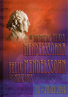# AN DIN MUZYKI-FELIKST MENDELSSOHNE FELIX MENDELSSOHN Additional Manuel

 $10 - 20.05.2019$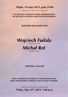## **Piątek, 10 maja 2019, godz.19.00**

Centrum Kultury Żydowskiej, ul. Meiselsa 17

**210. ROCZNICA URODZIN FELIKSA MENDELSSOHNA 100. ROCZNICA URODZIN MIECZYSŁAWA WEINBERGA**

#### *KONCERT INAUGURACYJNY*

*Wojciech Fudala* 

*Michał Rot*

fortepian / piano

#### *OPENING CONCERT*

**210TH ANNIVESARY OF BIRTH OF FELIX MENDELSSOHN 100TH ANNIVERSARY OF BIRTH OF MIECZYSŁAW WEINBERG**

> Center for Jewish Culture, 17 Meiselsa Street **Friday, May 10th, 2019, 7:00 p.m.**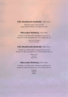#### **Felix Mendelssohn Bartholdy** (1809-1847)

*Pieśń bez słów D-dur* op.109 *Song without Words in D major* Op.109

#### **Mieczysław Weinberg** (1919-1996)

*I Sonata na wiolonczelę i fortepian C-dur* op. 21 *Sonata for cello and piano No. 1 in C major* Op. 21

> Lento ma non troppo Un poco moderato

#### **Felix Mendelssohn Bartholdy** (1809-1847)

*I Sonata na wiolonczelę i fortepian B-dur* op. 45 *Sonata for cello and piano No.1 in B flat major* Op. 45

> Allegro vivace Andante Allegro assai

#### **Mieczysław Weinberg** (1919-1996)

*II Sonata na wiolonczelę i fortepian g-moll* op. 63 *Sonata for cello and piano No. 2 in G minor* Op. 63

> Moderato Andante Allegro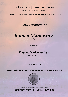# **Sobota, 11 maja 2019, godz. 19.00**

Centrum Kultury Żydowskiej, ul. Meiselsa 17

*Koncert pod patronatem Fundacji Kościuszkowskiej w Nowym Jorku*

*RECITAL FORTEPIANOWY*



z udziałem

# *Krzysztofa Michalskiego*

wiolonczela / cello

#### *PIANO RECITAL*

*Concert under the patronage of the Kosciuszko Foundation in New York*



**Saturday, May 11th, 2019, 7:00 p.m.** Center for Jewish Culture, 17 Meiselsa Street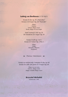#### **Ludwig van Beethoven** (1770-1827)

Sonata D-dur op. 28 "Pastoralna" *Sonata in D-major* Op. 28 "Pastorale"

> Allegro Andante Scherzo Allegro vivace Rondo Allegro ma non troppo

*Sześć wariacji F-dur* op. 34 *Six Variations in F major* Op. 34

*Sonata f-moll* op. 2 nr 1 *Sonata in F minor* Op. 2 No. 1

> Allegro Adagio Menuetto: Allegretto Prestissimo

*Przerwa / Intermission*

*Sonata na wiolonczelę i fortepian A-dur* op. 69 *Sonata for cello and piano in A major* Op. 69

> Allegro ma non tanto Scherzo: Allegro molto Adagio cantabile-Allegro vivace

## **Krzysztof Michalski**

wiolonczela / cello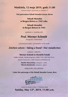# **Niedziela, 12 maja 2019, godz.11.00**

Centrum Kultury Żydowskiej, ul. Meiselsa 17

*Pod patronatem Yehudi Menuhin Forum, Berno*

**Yehudi Menuhin w Bergen-Belsen w 1945 roku**

**Yehudi Menuhin in Bergen-Belsen in 1945**

spotkanie z / meeting with

# *Prof. Werner Schmitt*

Szwajcaria / Switzerland

i prezentacja książki / presentation of the book

# *Zeichen setzen / Taking a Stand / Dać świadectwo*

redakcia / edited by

#### **Werner Schmitt & Hendrik Feindt**

Müller Schade, Musikverlag Bern (ISBN 978-3-905760-19-4) oprawa muzyczna / with musical contribution by

> **Amelia Maszońska,** skrzypce / violin **Mischa Kozłowski,** fortepian / piano

> > wstęp wolny / free admision

*Under the patronage of the Yehudi Menuhin Forum, Bern* 



**Sunday, May 12th, 2019, 11:00 a.m.** Center for Jewish Culture, 17 Meiselsa Street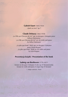#### **Gabriel Fauré** (1845-1924)

*"Aprés un reve"* op. 7

#### **Claude Debussy** (1862-1918)

*"La Fille aux Cheveux de Lin" opr. na skrzypce i fortepian przez Arthura Hartmanna. "La Fille aux Cheveux de Lin" arr. for violin and piano by Arthur Hartmann*

*"La plus que lente" Walc opr. na skrzypce i fortepian przez Léona Roques "La plus que lente" Walz arr. for violin and piano by Léon Roques*

#### **Prezentacja książki / Presentation of the book**

#### **Ludwig van Beethoven** (1770-1827)

*Sonata na skrzypce i fortepian A-dur* op. 47 Kreutzerowska *Sonata for violin and piano A major* Op. 47 Kreutzer

1. Adagio sostenuto - Presto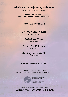**Niedziela, 12 maja 2019, godz.19.00**

Centrum Kultury Żydowskiej, ul. Meiselsa 17

*Koncert pod patronatem Fundacji Współpracy Polsko-Niemieckiej*

*KONCERT KAMERALNY*

## *BERLIN PIANO TRIO*

Niemcy / Germany



fortepian / piano

# *Krzysztof Polonek*

skrzypce / violin

# *Katarzyna Polonek*

wiolonczela / cello

#### *CHAMBER MUSIC CONCERT*

*Concert under the patronage of the Foundation for Polish-German Cooperation*



**FUNDACJA WSPÓŁPRACY** POLSKO-NIEMIECKIEJ **EUTSCH-POLNISCHE** AMMENARBEIT

**Sunday, May 12th, 2019, 7:00 p.m.** Center for Jewish Culture, 17 Meiselsa Street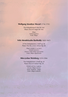#### **Wolfgang Amadeus Mozart** (1756-1791)

*Trio fortepianowe E-dur* KV 542 *Piano Trio in E major* KV 542

> Allegro Andante grazioso Finale. Allegro

#### **Felix Mendelssohn Bartholdy** (1809-1847)

*II Trio fortepianowe c-moll* op. 66 *Piano Trio No. 2 in C minor* Op. 66

Allegro energico e con fuoco Andante espressivo Scherzo: Molto allegro quasi presto Finale: Allegro appassionato

#### **Mieczysław Weinberg** (1919-1996)

*Trio fortepianowe a-moll* op. 24 *Piano Trio in A minor* Op. 24

> Prelude and Aria: Larghetto Toccata: Allegro marcato Poem: Moderato - Adagio Finale: Allegro moderato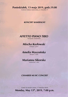# **Poniedziałek, 13 maja 2019, godz.19.00**

Centrum Kultury Żydowskiej, ul. Meiselsa 17

#### *KONCERT KAMERALNY*

# *AFFETTO PIANO TRIO*

Szwajcaria / Switzerland

# *Mischa Kozłowski*

fortepian / piano

# *Amelia Maszońska*

skrzypce / violin

# *Marianna Sikorska*

wiolonczela / cello

#### *CHAMBER MUSIC CONCERT*

**Monday, May 13th, 2019, 7:00 p.m.** Center for Jewish Culture, 17 Meiselsa Street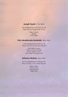#### **Joseph Haydn** (1792-1809)

*Trio fortepianowe E- dur* Hob. XV 28 *Piano Trio in E major* Hob. XV 28

> Allegro moderato Allegretto Finale. Allegro

#### **Felix Mendelssohn Bartholdy** (1809-1847)

*I Trio fortepianowe d-moll* op. 49 *Piano Trio No.1 in D minor* Op. 49

> Molto allegro ed agitato Andante con moto tranquillo Scherzo: Leggiero e vivace Finale: Allegro assai appassionato

#### **Johannes Brahms** (1833-1897)

*III Trio fortepianowe c-moll* op. 101 *Piano Trio No. 3 in C minor* Op.101

> Allegro energico Presto non assai Andante grazioso Allegro molto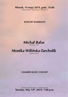# **Wtorek, 14 maja 2019, godz. 19.00**

Centrum Kultury Żydowskiej, ul. Meiselsa 17

#### *KONCERT KAMERALNY*

*Michał Balas*

wiolonczela / cello

# *Monika Wilińska-Tarcholik*

fortepian / piano

#### *CHAMBER MUSIC CONCERT*

**Tuesday, May 14th, 2019, 7:00 p.m.** Center for Jewish Culture, 17 Meiselsa Street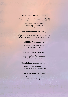#### **Johannes Brahms** (1833-1897)

*I Sonata na wiolonczelę i fortepian e-moll* op. 38 *Sonata for cello and piano No.1 E minor* Op. 38

> Allegro molto Allegro non troppo Allegretto quasi Menuetto & Trio Allegro

#### **Robert Schumann** (1810-1856)

*Adagio i Allegro na wiolonczelę i fortepian* op. 70 *Adagio and Allegro for cello and piano* Op. 70

#### **Joel Phillip Friedman** (\*1960)

*Johansen na wiolonczelę solo Johansen for cello solo*

#### **Grażyna Bacewicz** (1909-1969)

*Kaprys polski na wiolonczelę solo Polish Caprice for cello solo*

#### **Camille Saint-Saens** (1835-1921)

*Łabędź z Karnawału zwierząt The Swan - Carnival of the Animals*

#### Piotr Czajkowski (1840-1893)

*Pezzo Capriccioso* op. 62 *Pezzo Capriccioso* Op. 62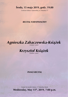# **Środa, 15 maja 2019, godz. 19.00**

Centrum Kultury Żydowskiej, ul. Meiselsa 17

#### *RECITAL FORTEPIANOWY*

Agnieszka Zahaczewska-Książek



#### *PIANO RECITAL*

**Wednesday, May 15th, 2019, 7:00 p.m.** Center for Jewish Culture, 17 Meiselsa Street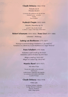#### **Claude Debussy** (1862-1918)

*Preludia* tom II *Preludes* Book II

La terrasse des audiences du clair de lune Général Lavine – eccentric Ondine Feux d'artifice

#### **Fryderyk Chopin** (1810-1849)

*Mazurki / Mazurkas* op. 24

g-moll, C-dur, As-dur, b-moll G minor, C major, A flat major, B flat minor

#### **Robert Schumann** (1810-1856) **/ Franz Liszt** (1811-1886)

#### *Liebeslied – Widmung*

#### **Ludwig van Beethoven** (1770-1827)

*Wariacje na temat hrabiego Waldsteina C-dur* WoO 67 *Variations on a theme by Count Waldstein in C major* WoO 67

#### **Franz Schubert** (1791-1828)

*Andantino varié h-moll* op. 84 D 823 *Andantino varié in B minor* Op. 84 D 823

*Allegro a-moll op.* 144 D 947 *Allegro in A minor* Op. 144 D 947

#### **Maurice Ravel** (1875-1937)

#### *Ma mère l'Oye*

Pavane de la Belle au bois dormant Petit Poucet Laideronnette, impératrice des pagodes Les entretiens de la belle et de la bête Le jardin féerique

#### **Claude Debussy** (1862-1918)

#### *Petite suite*

En bateau (Sailing): Andantino Cortège (Retinue): Moderato Menuet: Moderato Ballet: Allegro giusto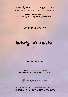# **Czwartek, 16 maja 2019, godz. 19.00**

Kościół Ewangelicko-Augsburski, ul. Grodzka 58, 31-044 Kraków

*Koncert pod patronatem Parafii Ewangelicko-Augsburskiej w Krakowie*

#### *KONCERT ORGANOWY*



Polska / Poland

#### *ORGAN CONCERT*

*Concert under the patronage of The Evangelical-Lutheran Parish in Krakow*



**Thursday, May 16th, 2019, 7:00 p.m.** St. Martin Lutheran Church, 58 Grodzka Street, 31-044 Krakow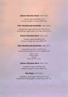#### **Johann Sebastian Bach** (1685-1750)

*Toccata i fuga d-moll* BWV 538 *Toccata & Fugue in D minor* BWV 538

#### **Felix Mendelssohn Bartholdy** (1809-1847**)**

*Nachspiel pro organo pleno D-dur* MWV W 12 *Nachspiel pro organo pleno in D major* MWV W 12

#### **Johann Sebastian Bach** (1685-1750)

*Fantazja i fuga g-moll* BWV 542 *Fantasia & Fugue in G minor* BWV 542

#### **Felix Mendelssohn Bartholdy** (1809-1847)

*Sonata B-dur* op. 65 nr 4 MWV W 59 *Sonata in B flat major* Op. 65 No. 4 MWV W 59

> Allegro con brio Andante religioso Allegretto Allegro maestoso e vivace

#### **Johann Sebastian Bach** (1685-1750)

*Preludium i fuga f-moll* BWV 534 *Prelude & Fugue in F minor* BWV 534

#### **Max Reger** (1873-1916)

*Introdukcja i passacaglia f-moll* op. 63 nr 5-6 *Introduction & Passacaglia in F minor* Op. 63 No. 5-6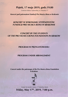# **Piątek, 17 maja 2019, godz.19.00**

Centrum Kultury Żydowskiej, ul. Meiselsa 17

*Koncert pod patronatem Fundacji Pro Musica Bona w Krakowie* 

#### *KONCERT W WYKONANIU STYPENDYSTÓW FUNDACJI PRO MUSICA BONA W KRAKOWIE*

## *CONCERT BY THE STUDENTS OF THE PRO MUSICA BONA FOUNDATION IN KRAKOW*

#### **PROGRAM W PRZYGOTOWANIU**

#### **PROGRAM UNDER ARRANGEMENT**

*Concert under the patronage of the Pro Musica Bona Foundation in Krakow*



**Friday, May 17th, 2019, 7:00 p.m.** Center for Jewish Culture, 17 Meiselsa Street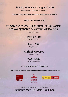# Sobota, 18 maja 2019, godz.19.00

Centrum Kultury Żydowskiej, ul. Meiselsa 17

Koncert pod patronatem Instytutu Cervantesa w Krakowie

# **KONCERT KAMERALNY**

# **KWARTET SMYCZKOWY CUARTETO GRANADOS STRING QUARTET CUARTETO GRANADOS**

Hiszpania / Spain

# **David Mata**

skrzypce / violin

# **Marc Oliu**

skrzypce / violin

# **Andoni Mercero**

altówka / viola

# **Aldo Mata** wiolonczela / cello

# **CHAMBER MUSIC CONCERT**

Concert under the patronage of the Cervantes Institute in Krakow



Center for Jewish Culture, 17 Meiselsa Street Saturday, May 18<sup>th</sup>, 2019, 7:00 p.m.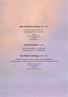#### **Juan Crisóstomo Arriaga** (1806-1826)

*I Kwartet smyczkowy d-moll String Quartet No. 1 in D minor*

> Allegro Adagio con espressione Menuett Adagio-Allegretto

#### **Gabriel Erkoreka** (\*1969)

*II Kwartet smyczkowy* "Quadrupole" *String Quartet No. 2* "Quadrupole"

#### **Jose Maria Usandizaga** (1887-1915)

*Kwartet smyczkowy G-dur* na motywach z Kraju Basków *String Quartet in G major* based on the themes from the Basque Country

> Muy lento. Vivo. Muy lento Muy vivo (Scherzo) Moderato Introducción, zortziko, final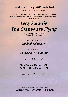## **Niedziela, 19 maja 2019, godz.16.00**

Centrum Kultury Żydowskiej, ul. Meiselsa 17

**100. ROCZNICA URODZIN MIECZYSŁAWA WEINBERGA 100TH ANNIVERSARY OF BIRTH OF MIECZYSŁAW WEINBERG (1919-2019)**

# *Lecą żurawie The Cranes are Flying*

Film fabularny, dramat wojenny Feature film, war drama

Reżyseria / directed by

*Michaił Kałatozow*

Muzyka / Music by

# *Mieczysław Weinberg*

# ZSRR, USSR, 1957

## **Złota Palma w Cannes, 1958r PALME D'OR in Cannes, 1958**

Wstęp wolny / Free admission

Center for Jewish Culture, 17 Meiselsa Street **Sunday, May 19th, 2019, 4:00 p.m.**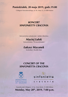# **Poniedziałek, 20 maja 2019, godz.19.00**

Collegium Nowodworskiego, ul. Św. Anny 12, 31-008 Kraków

# *KONCERT SINFONIETTY CRACOVIA*

kierownictwo artystyczne / artistic direction

*Maciej Lulek* Koncertmistrz / (Concertmaster)

# *Łukasz Mazanek*

kontrabas / double-bass

# *CONCERT OF THE SINFONIETTA CRACOVIA*





Nowodworski Collegium, 12 Sw. Anny Street, 31-008 Krakow **Monday, May 20th, 2019, 7:00 p.m.**